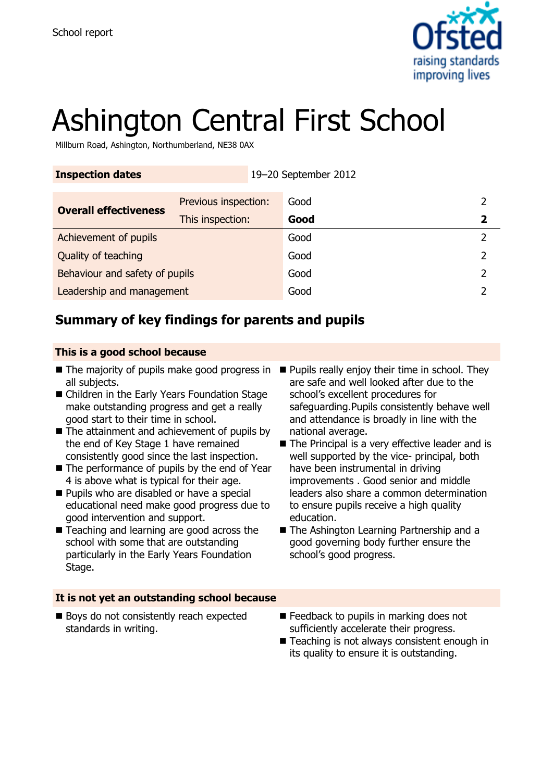

# Ashington Central First School

Millburn Road, Ashington, Northumberland, NE38 0AX

| <b>Inspection dates</b>        |                      | 19-20 September 2012 |      |  |
|--------------------------------|----------------------|----------------------|------|--|
| <b>Overall effectiveness</b>   | Previous inspection: |                      | Good |  |
|                                | This inspection:     |                      | Good |  |
| Achievement of pupils          |                      |                      | Good |  |
| Quality of teaching            |                      |                      | Good |  |
| Behaviour and safety of pupils |                      |                      | Good |  |
| Leadership and management      |                      |                      | Good |  |

# **Summary of key findings for parents and pupils**

#### **This is a good school because**

- The majority of pupils make good progress in Pupils really enjoy their time in school. They all subjects.
- Children in the Early Years Foundation Stage make outstanding progress and get a really good start to their time in school.
- $\blacksquare$  The attainment and achievement of pupils by the end of Key Stage 1 have remained consistently good since the last inspection.
- The performance of pupils by the end of Year 4 is above what is typical for their age.
- **Pupils who are disabled or have a special** educational need make good progress due to good intervention and support.
- Teaching and learning are good across the school with some that are outstanding particularly in the Early Years Foundation Stage.
- are safe and well looked after due to the school's excellent procedures for safeguarding.Pupils consistently behave well and attendance is broadly in line with the national average.
- The Principal is a very effective leader and is well supported by the vice- principal, both have been instrumental in driving improvements . Good senior and middle leaders also share a common determination to ensure pupils receive a high quality education.
- The Ashington Learning Partnership and a good governing body further ensure the school's good progress.

#### **It is not yet an outstanding school because**

- Boys do not consistently reach expected standards in writing.
- E Feedback to pupils in marking does not sufficiently accelerate their progress.
- Teaching is not always consistent enough in its quality to ensure it is outstanding.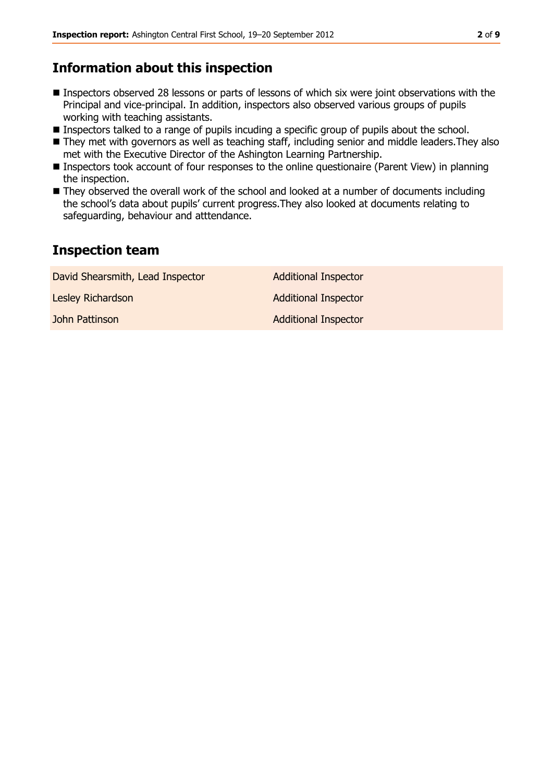# **Information about this inspection**

- **Inspectors observed 28 lessons or parts of lessons of which six were joint observations with the** Principal and vice-principal. In addition, inspectors also observed various groups of pupils working with teaching assistants.
- **Inspectors talked to a range of pupils incuding a specific group of pupils about the school.**
- They met with governors as well as teaching staff, including senior and middle leaders. They also met with the Executive Director of the Ashington Learning Partnership.
- Inspectors took account of four responses to the online questionaire (Parent View) in planning the inspection.
- They observed the overall work of the school and looked at a number of documents including the school's data about pupils' current progress.They also looked at documents relating to safeguarding, behaviour and atttendance.

#### **Inspection team**

| David Shearsmith, Lead Inspector | <b>Additional Inspector</b> |
|----------------------------------|-----------------------------|
| Lesley Richardson                | <b>Additional Inspector</b> |
| John Pattinson                   | <b>Additional Inspector</b> |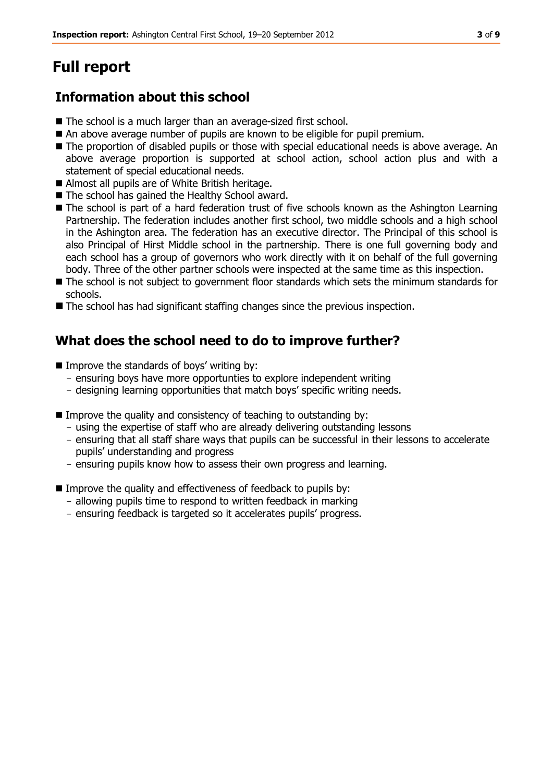# **Full report**

# **Information about this school**

- The school is a much larger than an average-sized first school.
- An above average number of pupils are known to be eligible for pupil premium.
- The proportion of disabled pupils or those with special educational needs is above average. An above average proportion is supported at school action, school action plus and with a statement of special educational needs.
- Almost all pupils are of White British heritage.
- The school has gained the Healthy School award.
- The school is part of a hard federation trust of five schools known as the Ashington Learning Partnership. The federation includes another first school, two middle schools and a high school in the Ashington area. The federation has an executive director. The Principal of this school is also Principal of Hirst Middle school in the partnership. There is one full governing body and each school has a group of governors who work directly with it on behalf of the full governing body. Three of the other partner schools were inspected at the same time as this inspection.
- The school is not subject to government floor standards which sets the minimum standards for schools.
- The school has had significant staffing changes since the previous inspection.

# **What does the school need to do to improve further?**

- $\blacksquare$  Improve the standards of boys' writing by:
	- ensuring boys have more opportunties to explore independent writing
	- designing learning opportunities that match boys' specific writing needs.
- $\blacksquare$  Improve the quality and consistency of teaching to outstanding by:
	- using the expertise of staff who are already delivering outstanding lessons
	- ensuring that all staff share ways that pupils can be successful in their lessons to accelerate pupils' understanding and progress
	- ensuring pupils know how to assess their own progress and learning.
- **IMPROVE the quality and effectiveness of feedback to pupils by:** 
	- allowing pupils time to respond to written feedback in marking
	- ensuring feedback is targeted so it accelerates pupils' progress.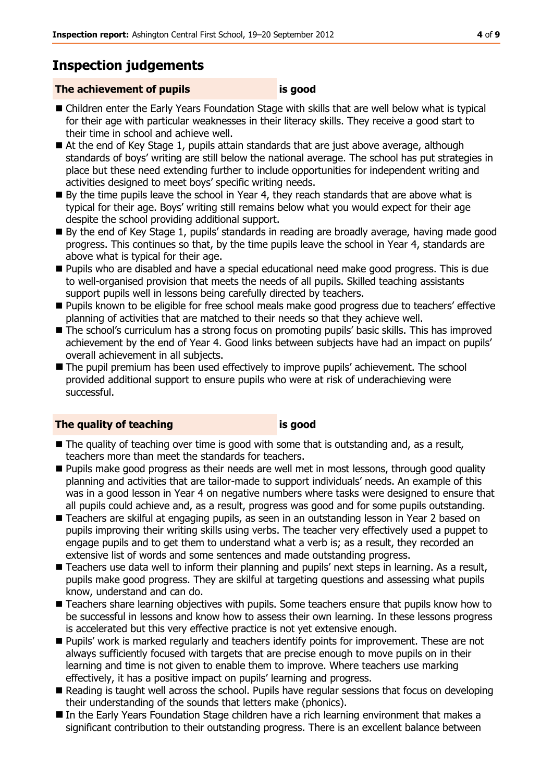# **Inspection judgements**

#### **The achievement of pupils is good**

- Children enter the Early Years Foundation Stage with skills that are well below what is typical for their age with particular weaknesses in their literacy skills. They receive a good start to their time in school and achieve well.
- At the end of Key Stage 1, pupils attain standards that are just above average, although standards of boys' writing are still below the national average. The school has put strategies in place but these need extending further to include opportunities for independent writing and activities designed to meet boys' specific writing needs.
- By the time pupils leave the school in Year 4, they reach standards that are above what is typical for their age. Boys' writing still remains below what you would expect for their age despite the school providing additional support.
- By the end of Key Stage 1, pupils' standards in reading are broadly average, having made good progress. This continues so that, by the time pupils leave the school in Year 4, standards are above what is typical for their age.
- **Pupils who are disabled and have a special educational need make good progress. This is due** to well-organised provision that meets the needs of all pupils. Skilled teaching assistants support pupils well in lessons being carefully directed by teachers.
- Pupils known to be eligible for free school meals make good progress due to teachers' effective planning of activities that are matched to their needs so that they achieve well.
- The school's curriculum has a strong focus on promoting pupils' basic skills. This has improved achievement by the end of Year 4. Good links between subjects have had an impact on pupils' overall achievement in all subjects.
- The pupil premium has been used effectively to improve pupils' achievement. The school provided additional support to ensure pupils who were at risk of underachieving were successful.

#### **The quality of teaching is good**

- The quality of teaching over time is good with some that is outstanding and, as a result, teachers more than meet the standards for teachers.
- **Pupils make good progress as their needs are well met in most lessons, through good quality** planning and activities that are tailor-made to support individuals' needs. An example of this was in a good lesson in Year 4 on negative numbers where tasks were designed to ensure that all pupils could achieve and, as a result, progress was good and for some pupils outstanding.
- Teachers are skilful at engaging pupils, as seen in an outstanding lesson in Year 2 based on pupils improving their writing skills using verbs. The teacher very effectively used a puppet to engage pupils and to get them to understand what a verb is; as a result, they recorded an extensive list of words and some sentences and made outstanding progress.
- Teachers use data well to inform their planning and pupils' next steps in learning. As a result, pupils make good progress. They are skilful at targeting questions and assessing what pupils know, understand and can do.
- **Teachers share learning objectives with pupils. Some teachers ensure that pupils know how to The Thanks** be successful in lessons and know how to assess their own learning. In these lessons progress is accelerated but this very effective practice is not yet extensive enough.
- **Pupils'** work is marked regularly and teachers identify points for improvement. These are not always sufficiently focused with targets that are precise enough to move pupils on in their learning and time is not given to enable them to improve. Where teachers use marking effectively, it has a positive impact on pupils' learning and progress.
- Reading is taught well across the school. Pupils have regular sessions that focus on developing their understanding of the sounds that letters make (phonics).
- In the Early Years Foundation Stage children have a rich learning environment that makes a significant contribution to their outstanding progress. There is an excellent balance between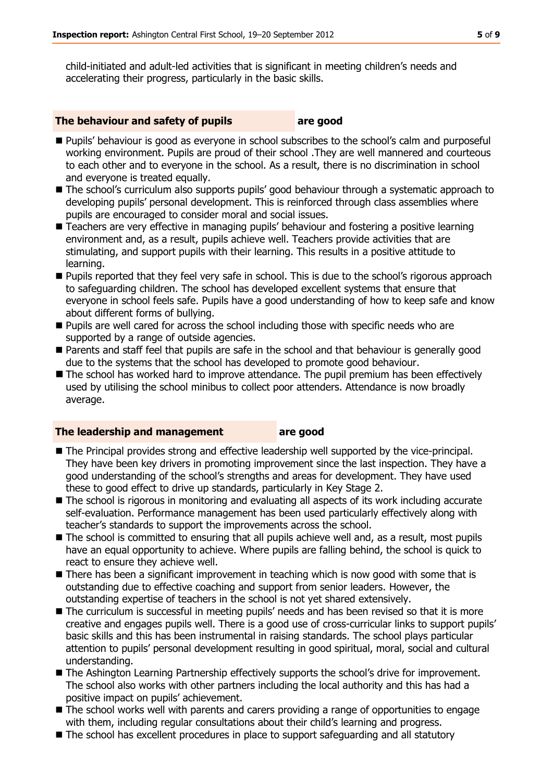child-initiated and adult-led activities that is significant in meeting children's needs and accelerating their progress, particularly in the basic skills.

#### **The behaviour and safety of pupils are good**

- Pupils' behaviour is good as everyone in school subscribes to the school's calm and purposeful working environment. Pupils are proud of their school .They are well mannered and courteous to each other and to everyone in the school. As a result, there is no discrimination in school and everyone is treated equally.
- The school's curriculum also supports pupils' good behaviour through a systematic approach to developing pupils' personal development. This is reinforced through class assemblies where pupils are encouraged to consider moral and social issues.
- **Teachers are very effective in managing pupils' behaviour and fostering a positive learning** environment and, as a result, pupils achieve well. Teachers provide activities that are stimulating, and support pupils with their learning. This results in a positive attitude to learning.
- Pupils reported that they feel very safe in school. This is due to the school's rigorous approach to safeguarding children. The school has developed excellent systems that ensure that everyone in school feels safe. Pupils have a good understanding of how to keep safe and know about different forms of bullying.
- **Pupils are well cared for across the school including those with specific needs who are** supported by a range of outside agencies.
- **Parents and staff feel that pupils are safe in the school and that behaviour is generally good** due to the systems that the school has developed to promote good behaviour.
- The school has worked hard to improve attendance. The pupil premium has been effectively used by utilising the school minibus to collect poor attenders. Attendance is now broadly average.

#### **The leadership and management are good**

- The Principal provides strong and effective leadership well supported by the vice-principal. They have been key drivers in promoting improvement since the last inspection. They have a good understanding of the school's strengths and areas for development. They have used these to good effect to drive up standards, particularly in Key Stage 2.
- The school is rigorous in monitoring and evaluating all aspects of its work including accurate self-evaluation. Performance management has been used particularly effectively along with teacher's standards to support the improvements across the school.
- The school is committed to ensuring that all pupils achieve well and, as a result, most pupils have an equal opportunity to achieve. Where pupils are falling behind, the school is quick to react to ensure they achieve well.
- There has been a significant improvement in teaching which is now good with some that is outstanding due to effective coaching and support from senior leaders. However, the outstanding expertise of teachers in the school is not yet shared extensively.
- The curriculum is successful in meeting pupils' needs and has been revised so that it is more creative and engages pupils well. There is a good use of cross-curricular links to support pupils' basic skills and this has been instrumental in raising standards. The school plays particular attention to pupils' personal development resulting in good spiritual, moral, social and cultural understanding.
- The Ashington Learning Partnership effectively supports the school's drive for improvement. The school also works with other partners including the local authority and this has had a positive impact on pupils' achievement.
- The school works well with parents and carers providing a range of opportunities to engage with them, including regular consultations about their child's learning and progress.
- The school has excellent procedures in place to support safeguarding and all statutory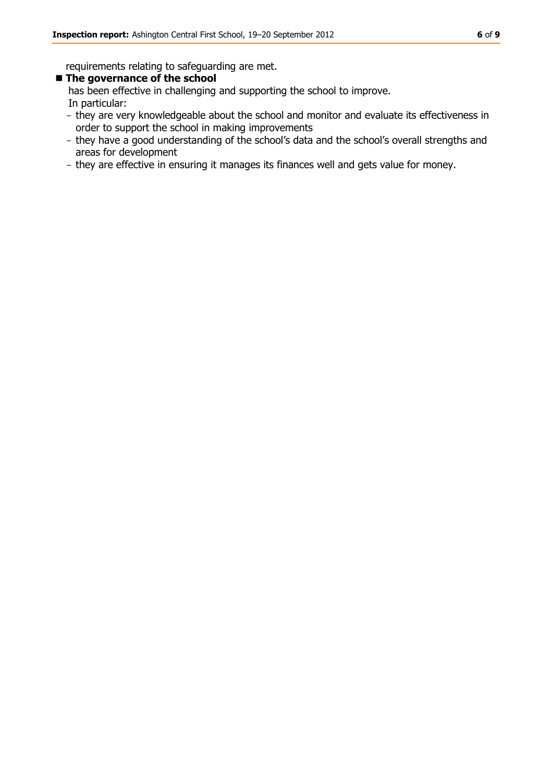requirements relating to safeguarding are met.

#### **The governance of the school**

has been effective in challenging and supporting the school to improve. In particular:

- they are very knowledgeable about the school and monitor and evaluate its effectiveness in order to support the school in making improvements
- they have a good understanding of the school's data and the school's overall strengths and areas for development
- they are effective in ensuring it manages its finances well and gets value for money.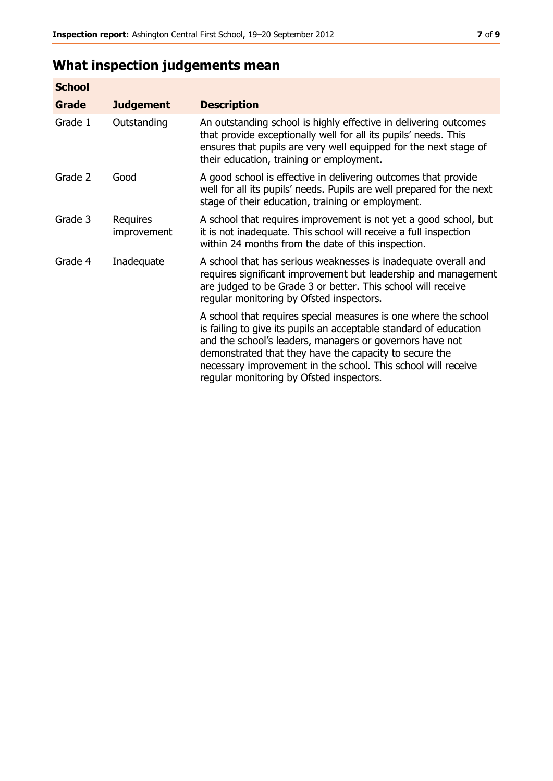# **What inspection judgements mean**

| <b>School</b> |                         |                                                                                                                                                                                                                                                                                                                                                                         |
|---------------|-------------------------|-------------------------------------------------------------------------------------------------------------------------------------------------------------------------------------------------------------------------------------------------------------------------------------------------------------------------------------------------------------------------|
| <b>Grade</b>  | <b>Judgement</b>        | <b>Description</b>                                                                                                                                                                                                                                                                                                                                                      |
| Grade 1       | Outstanding             | An outstanding school is highly effective in delivering outcomes<br>that provide exceptionally well for all its pupils' needs. This<br>ensures that pupils are very well equipped for the next stage of<br>their education, training or employment.                                                                                                                     |
| Grade 2       | Good                    | A good school is effective in delivering outcomes that provide<br>well for all its pupils' needs. Pupils are well prepared for the next<br>stage of their education, training or employment.                                                                                                                                                                            |
| Grade 3       | Requires<br>improvement | A school that requires improvement is not yet a good school, but<br>it is not inadequate. This school will receive a full inspection<br>within 24 months from the date of this inspection.                                                                                                                                                                              |
| Grade 4       | Inadequate              | A school that has serious weaknesses is inadequate overall and<br>requires significant improvement but leadership and management<br>are judged to be Grade 3 or better. This school will receive<br>regular monitoring by Ofsted inspectors.                                                                                                                            |
|               |                         | A school that requires special measures is one where the school<br>is failing to give its pupils an acceptable standard of education<br>and the school's leaders, managers or governors have not<br>demonstrated that they have the capacity to secure the<br>necessary improvement in the school. This school will receive<br>regular monitoring by Ofsted inspectors. |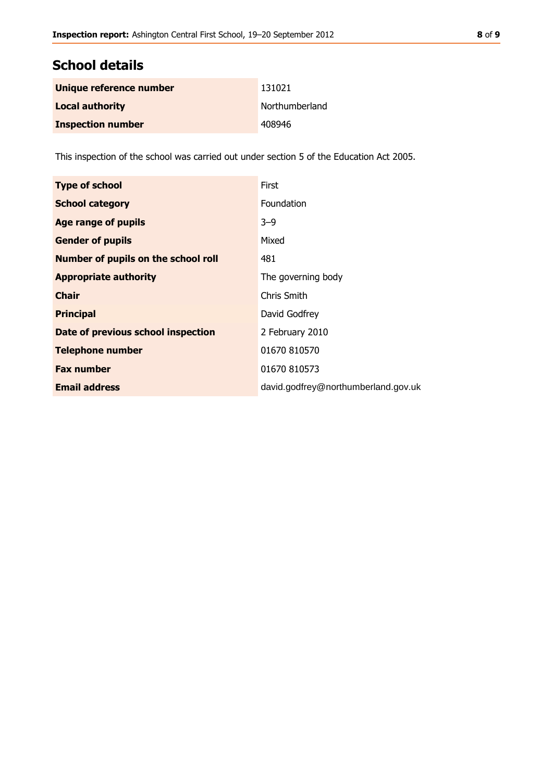# **School details**

| Unique reference number  | 131021         |
|--------------------------|----------------|
| <b>Local authority</b>   | Northumberland |
| <b>Inspection number</b> | 408946         |

This inspection of the school was carried out under section 5 of the Education Act 2005.

| <b>Type of school</b>               | First                               |
|-------------------------------------|-------------------------------------|
| <b>School category</b>              | Foundation                          |
| Age range of pupils                 | $3 - 9$                             |
| <b>Gender of pupils</b>             | Mixed                               |
| Number of pupils on the school roll | 481                                 |
| <b>Appropriate authority</b>        | The governing body                  |
| <b>Chair</b>                        | Chris Smith                         |
| <b>Principal</b>                    | David Godfrey                       |
| Date of previous school inspection  | 2 February 2010                     |
| <b>Telephone number</b>             | 01670 810570                        |
| <b>Fax number</b>                   | 01670 810573                        |
| <b>Email address</b>                | david.godfrey@northumberland.gov.uk |